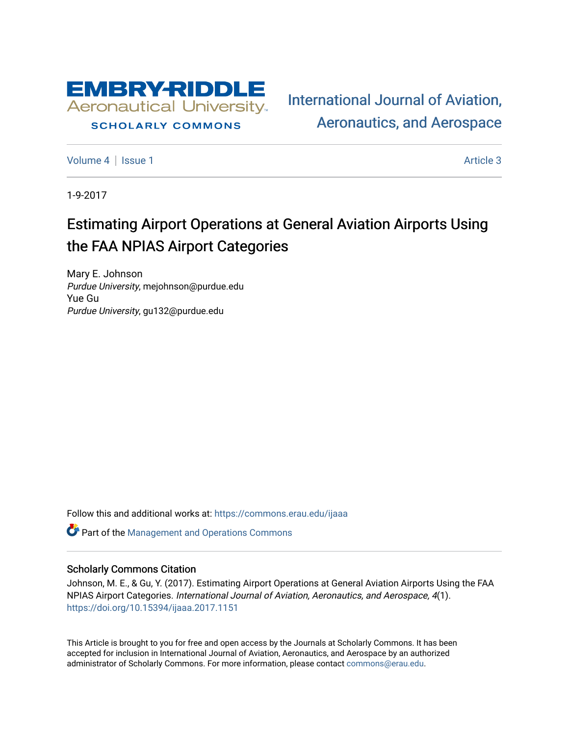

# **SCHOLARLY COMMONS**

[International Journal of Aviation,](https://commons.erau.edu/ijaaa)  [Aeronautics, and Aerospace](https://commons.erau.edu/ijaaa) 

[Volume 4](https://commons.erau.edu/ijaaa/vol4) | [Issue 1](https://commons.erau.edu/ijaaa/vol4/iss1) Article 3

1-9-2017

# Estimating Airport Operations at General Aviation Airports Using the FAA NPIAS Airport Categories

Mary E. Johnson Purdue University, mejohnson@purdue.edu Yue Gu Purdue University, gu132@purdue.edu

Follow this and additional works at: [https://commons.erau.edu/ijaaa](https://commons.erau.edu/ijaaa?utm_source=commons.erau.edu%2Fijaaa%2Fvol4%2Fiss1%2F3&utm_medium=PDF&utm_campaign=PDFCoverPages) 

**C** Part of the Management and Operations Commons

#### Scholarly Commons Citation

Johnson, M. E., & Gu, Y. (2017). Estimating Airport Operations at General Aviation Airports Using the FAA NPIAS Airport Categories. International Journal of Aviation, Aeronautics, and Aerospace, 4(1). <https://doi.org/10.15394/ijaaa.2017.1151>

This Article is brought to you for free and open access by the Journals at Scholarly Commons. It has been accepted for inclusion in International Journal of Aviation, Aeronautics, and Aerospace by an authorized administrator of Scholarly Commons. For more information, please contact [commons@erau.edu](mailto:commons@erau.edu).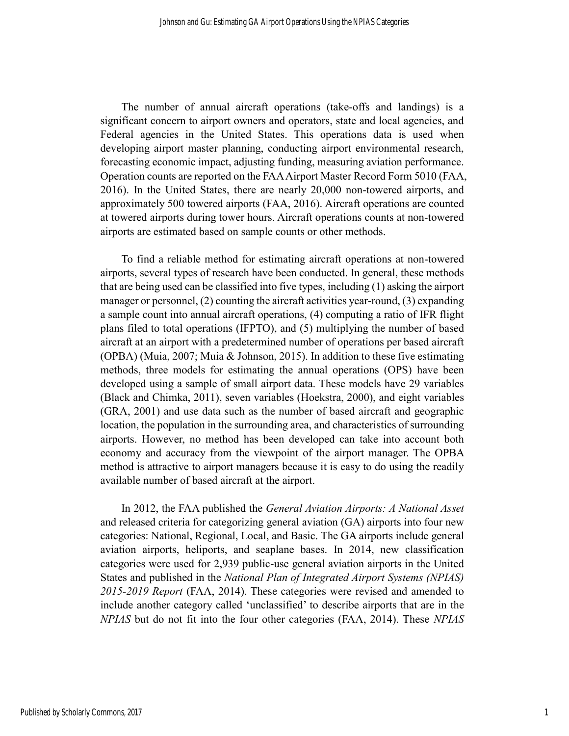The number of annual aircraft operations (take-offs and landings) is a significant concern to airport owners and operators, state and local agencies, and Federal agencies in the United States. This operations data is used when developing airport master planning, conducting airport environmental research, forecasting economic impact, adjusting funding, measuring aviation performance. Operation counts are reported on the FAA Airport Master Record Form 5010 (FAA, 2016). In the United States, there are nearly 20,000 non-towered airports, and approximately 500 towered airports (FAA, 2016). Aircraft operations are counted at towered airports during tower hours. Aircraft operations counts at non-towered airports are estimated based on sample counts or other methods.

To find a reliable method for estimating aircraft operations at non-towered airports, several types of research have been conducted. In general, these methods that are being used can be classified into five types, including (1) asking the airport manager or personnel, (2) counting the aircraft activities year-round, (3) expanding a sample count into annual aircraft operations, (4) computing a ratio of IFR flight plans filed to total operations (IFPTO), and (5) multiplying the number of based aircraft at an airport with a predetermined number of operations per based aircraft (OPBA) (Muia, 2007; Muia & Johnson, 2015). In addition to these five estimating methods, three models for estimating the annual operations (OPS) have been developed using a sample of small airport data. These models have 29 variables (Black and Chimka, 2011), seven variables (Hoekstra, 2000), and eight variables (GRA, 2001) and use data such as the number of based aircraft and geographic location, the population in the surrounding area, and characteristics of surrounding airports. However, no method has been developed can take into account both economy and accuracy from the viewpoint of the airport manager. The OPBA method is attractive to airport managers because it is easy to do using the readily available number of based aircraft at the airport.

In 2012, the FAA published the *General Aviation Airports: A National Asset* and released criteria for categorizing general aviation (GA) airports into four new categories: National, Regional, Local, and Basic. The GA airports include general aviation airports, heliports, and seaplane bases. In 2014, new classification categories were used for 2,939 public-use general aviation airports in the United States and published in the *National Plan of Integrated Airport Systems (NPIAS) 2015-2019 Report* (FAA, 2014). These categories were revised and amended to include another category called 'unclassified' to describe airports that are in the *NPIAS* but do not fit into the four other categories (FAA, 2014). These *NPIAS*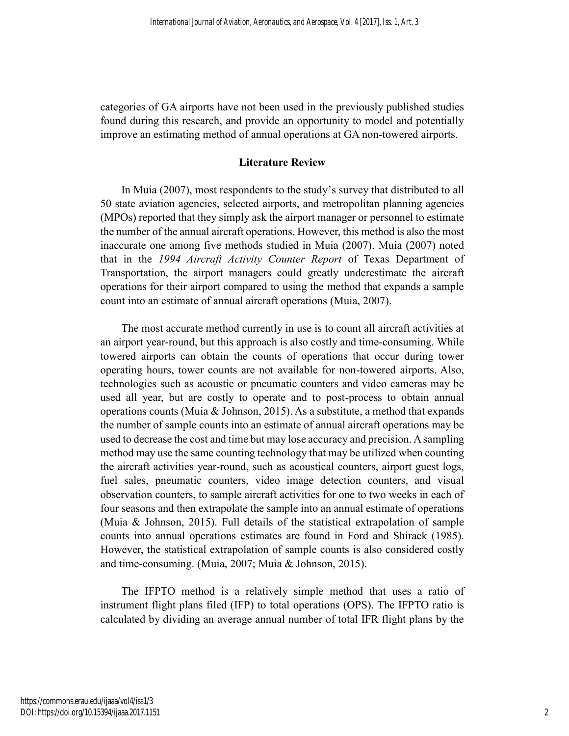categories of GA airports have not been used in the previously published studies found during this research, and provide an opportunity to model and potentially improve an estimating method of annual operations at GA non-towered airports.

# **Literature Review**

In Muia (2007), most respondents to the study's survey that distributed to all 50 state aviation agencies, selected airports, and metropolitan planning agencies (MPOs) reported that they simply ask the airport manager or personnel to estimate the number of the annual aircraft operations. However, this method is also the most inaccurate one among five methods studied in Muia (2007). Muia (2007) noted that in the *1994 Aircraft Activity Counter Report* of Texas Department of Transportation, the airport managers could greatly underestimate the aircraft operations for their airport compared to using the method that expands a sample count into an estimate of annual aircraft operations (Muia, 2007).

The most accurate method currently in use is to count all aircraft activities at an airport year-round, but this approach is also costly and time-consuming. While towered airports can obtain the counts of operations that occur during tower operating hours, tower counts are not available for non-towered airports. Also, technologies such as acoustic or pneumatic counters and video cameras may be used all year, but are costly to operate and to post-process to obtain annual operations counts (Muia & Johnson, 2015). As a substitute, a method that expands the number of sample counts into an estimate of annual aircraft operations may be used to decrease the cost and time but may lose accuracy and precision. Asampling method may use the same counting technology that may be utilized when counting the aircraft activities year-round, such as acoustical counters, airport guest logs, fuel sales, pneumatic counters, video image detection counters, and visual observation counters, to sample aircraft activities for one to two weeks in each of four seasons and then extrapolate the sample into an annual estimate of operations (Muia & Johnson, 2015). Full details of the statistical extrapolation of sample counts into annual operations estimates are found in Ford and Shirack (1985). However, the statistical extrapolation of sample counts is also considered costly and time-consuming. (Muia, 2007; Muia & Johnson, 2015).

The IFPTO method is a relatively simple method that uses a ratio of instrument flight plans filed (IFP) to total operations (OPS). The IFPTO ratio is calculated by dividing an average annual number of total IFR flight plans by the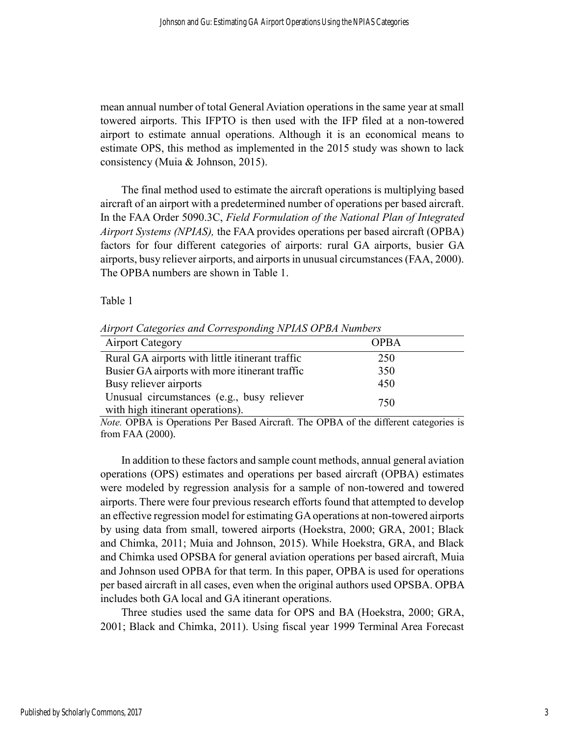mean annual number of total General Aviation operations in the same year at small towered airports. This IFPTO is then used with the IFP filed at a non-towered airport to estimate annual operations. Although it is an economical means to estimate OPS, this method as implemented in the 2015 study was shown to lack consistency (Muia & Johnson, 2015).

The final method used to estimate the aircraft operations is multiplying based aircraft of an airport with a predetermined number of operations per based aircraft. In the FAA Order 5090.3C, *Field Formulation of the National Plan of Integrated Airport Systems (NPIAS),* the FAA provides operations per based aircraft (OPBA) factors for four different categories of airports: rural GA airports, busier GA airports, busy reliever airports, and airports in unusual circumstances (FAA, 2000). The OPBA numbers are shown in Table 1.

#### Table 1

| <b>Airport Category</b>                                                        | <b>OPBA</b> |
|--------------------------------------------------------------------------------|-------------|
| Rural GA airports with little itinerant traffic                                | 250         |
| Busier GA airports with more itinerant traffic                                 | 350         |
| Busy reliever airports                                                         | 450         |
| Unusual circumstances (e.g., busy reliever<br>with high itinerant operations). | 750         |

*Airport Categories and Corresponding NPIAS OPBA Numbers*

*Note.* OPBA is Operations Per Based Aircraft. The OPBA of the different categories is from FAA (2000).

In addition to these factors and sample count methods, annual general aviation operations (OPS) estimates and operations per based aircraft (OPBA) estimates were modeled by regression analysis for a sample of non-towered and towered airports. There were four previous research efforts found that attempted to develop an effective regression model for estimating GA operations at non-towered airports by using data from small, towered airports (Hoekstra, 2000; GRA, 2001; Black and Chimka, 2011; Muia and Johnson, 2015). While Hoekstra, GRA, and Black and Chimka used OPSBA for general aviation operations per based aircraft, Muia and Johnson used OPBA for that term. In this paper, OPBA is used for operations per based aircraft in all cases, even when the original authors used OPSBA. OPBA includes both GA local and GA itinerant operations.

Three studies used the same data for OPS and BA (Hoekstra, 2000; GRA, 2001; Black and Chimka, 2011). Using fiscal year 1999 Terminal Area Forecast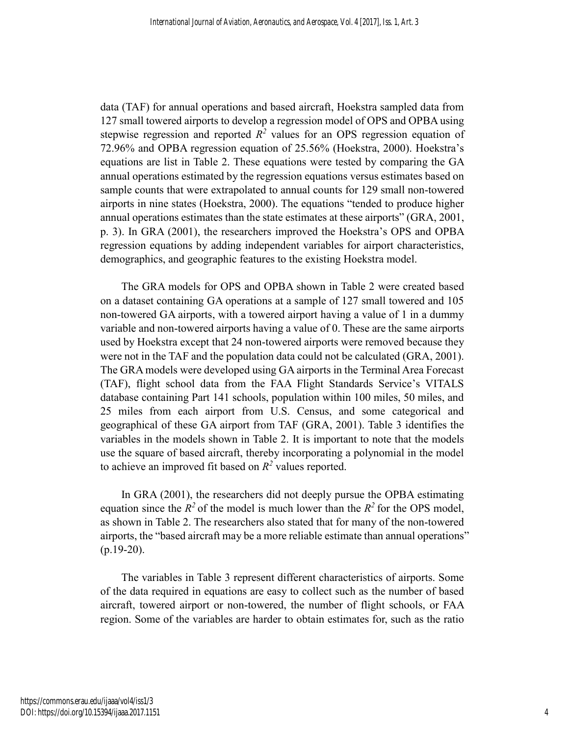data (TAF) for annual operations and based aircraft, Hoekstra sampled data from 127 small towered airports to develop a regression model of OPS and OPBA using stepwise regression and reported  $R^2$  values for an OPS regression equation of 72.96% and OPBA regression equation of 25.56% (Hoekstra, 2000). Hoekstra's equations are list in Table 2. These equations were tested by comparing the GA annual operations estimated by the regression equations versus estimates based on sample counts that were extrapolated to annual counts for 129 small non-towered airports in nine states (Hoekstra, 2000). The equations "tended to produce higher annual operations estimates than the state estimates at these airports" (GRA, 2001, p. 3). In GRA (2001), the researchers improved the Hoekstra's OPS and OPBA regression equations by adding independent variables for airport characteristics, demographics, and geographic features to the existing Hoekstra model.

The GRA models for OPS and OPBA shown in Table 2 were created based on a dataset containing GA operations at a sample of 127 small towered and 105 non-towered GA airports, with a towered airport having a value of 1 in a dummy variable and non-towered airports having a value of 0. These are the same airports used by Hoekstra except that 24 non-towered airports were removed because they were not in the TAF and the population data could not be calculated (GRA, 2001). The GRA models were developed using GA airports in the Terminal Area Forecast (TAF), flight school data from the FAA Flight Standards Service's VITALS database containing Part 141 schools, population within 100 miles, 50 miles, and 25 miles from each airport from U.S. Census, and some categorical and geographical of these GA airport from TAF (GRA, 2001). Table 3 identifies the variables in the models shown in Table 2. It is important to note that the models use the square of based aircraft, thereby incorporating a polynomial in the model to achieve an improved fit based on  $R^2$  values reported.

In GRA (2001), the researchers did not deeply pursue the OPBA estimating equation since the  $R^2$  of the model is much lower than the  $R^2$  for the OPS model, as shown in Table 2. The researchers also stated that for many of the non-towered airports, the "based aircraft may be a more reliable estimate than annual operations" (p.19-20).

The variables in Table 3 represent different characteristics of airports. Some of the data required in equations are easy to collect such as the number of based aircraft, towered airport or non-towered, the number of flight schools, or FAA region. Some of the variables are harder to obtain estimates for, such as the ratio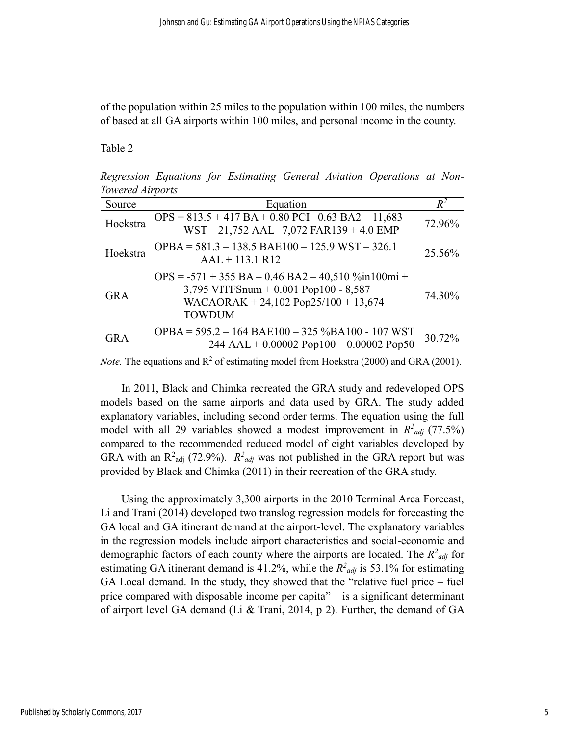of the population within 25 miles to the population within 100 miles, the numbers of based at all GA airports within 100 miles, and personal income in the county.

Table 2

*Regression Equations for Estimating General Aviation Operations at Non-Towered Airports*

| Source     | Equation                                                                                                                                                                  | $R^2$  |
|------------|---------------------------------------------------------------------------------------------------------------------------------------------------------------------------|--------|
| Hoekstra   | $OPS = 813.5 + 417 BA + 0.80 PCI - 0.63 BA2 - 11,683$<br>WST-21,752 AAL-7,072 FAR139 + 4.0 EMP                                                                            | 72.96% |
| Hoekstra   | OPBA = $581.3 - 138.5$ BAE100 - 125.9 WST - 326.1<br>$AAL + 113.1 R12$                                                                                                    | 25.56% |
| <b>GRA</b> | $OPS = -571 + 355 BA - 0.46 BA2 - 40,510\% \text{in} 100 \text{mi} +$<br>3,795 VITFSnum + $0.001$ Pop100 - 8,587<br>WACAORAK + 24,102 Pop25/100 + 13,674<br><b>TOWDUM</b> | 74.30% |
| <b>GRA</b> | OPBA = $595.2 - 164$ BAE100 - 325 %BA100 - 107 WST<br>$-244$ AAL + 0.00002 Pop100 - 0.00002 Pop50                                                                         | 30.72% |

*Note.* The equations and  $R^2$  of estimating model from Hoekstra (2000) and GRA (2001).

In 2011, Black and Chimka recreated the GRA study and redeveloped OPS models based on the same airports and data used by GRA. The study added explanatory variables, including second order terms. The equation using the full model with all 29 variables showed a modest improvement in  $R^2_{adj}$  (77.5%) compared to the recommended reduced model of eight variables developed by GRA with an  $R^2$ <sub>adj</sub> (72.9%).  $R^2$ <sub>*adj*</sub> was not published in the GRA report but was provided by Black and Chimka (2011) in their recreation of the GRA study.

Using the approximately 3,300 airports in the 2010 Terminal Area Forecast, Li and Trani (2014) developed two translog regression models for forecasting the GA local and GA itinerant demand at the airport-level. The explanatory variables in the regression models include airport characteristics and social-economic and demographic factors of each county where the airports are located. The  $R^2_{adj}$  for estimating GA itinerant demand is 41.2%, while the  $R^2_{adj}$  is 53.1% for estimating GA Local demand. In the study, they showed that the "relative fuel price – fuel price compared with disposable income per capita" – is a significant determinant of airport level GA demand (Li & Trani, 2014, p 2). Further, the demand of GA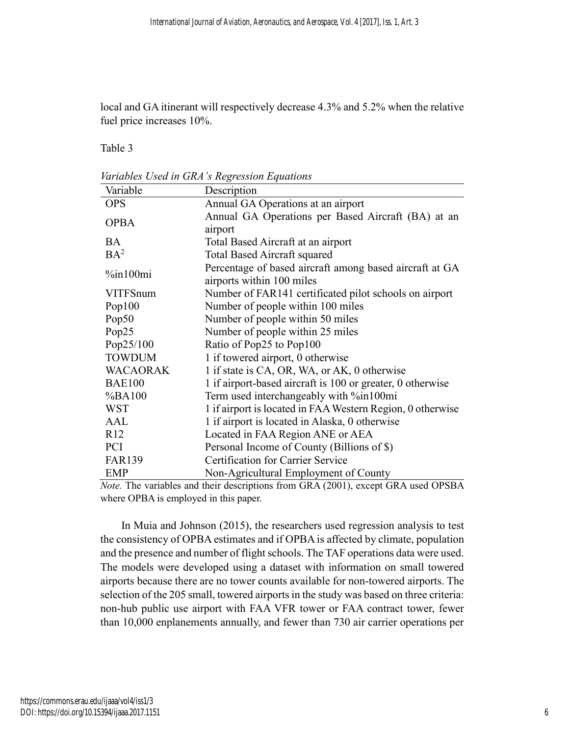local and GA itinerant will respectively decrease 4.3% and 5.2% when the relative fuel price increases 10%.

Table 3

*Variables Used in GRA's Regression Equations*

| Variable        | Description                                                |
|-----------------|------------------------------------------------------------|
| <b>OPS</b>      | Annual GA Operations at an airport                         |
| <b>OPBA</b>     | Annual GA Operations per Based Aircraft (BA) at an         |
| airport         |                                                            |
| <b>BA</b>       | Total Based Aircraft at an airport                         |
| $BA^2$          | <b>Total Based Aircraft squared</b>                        |
| $\%$ in100mi    | Percentage of based aircraft among based aircraft at GA    |
|                 | airports within 100 miles                                  |
| <b>VITFSnum</b> | Number of FAR141 certificated pilot schools on airport     |
| Pop100          | Number of people within 100 miles                          |
| Pop50           | Number of people within 50 miles                           |
| Pop25           | Number of people within 25 miles                           |
| Pop25/100       | Ratio of Pop25 to Pop100                                   |
| <b>TOWDUM</b>   | 1 if towered airport, 0 otherwise                          |
| <b>WACAORAK</b> | 1 if state is CA, OR, WA, or AK, 0 otherwise               |
| <b>BAE100</b>   | 1 if airport-based aircraft is 100 or greater, 0 otherwise |
| %BA100          | Term used interchangeably with %in100mi                    |
| <b>WST</b>      | 1 if airport is located in FAA Western Region, 0 otherwise |
| AAL             | 1 if airport is located in Alaska, 0 otherwise             |
| R12             | Located in FAA Region ANE or AEA                           |
| <b>PCI</b>      | Personal Income of County (Billions of \$)                 |
| <b>FAR139</b>   | <b>Certification for Carrier Service</b>                   |
| <b>EMP</b>      | Non-Agricultural Employment of County                      |

*Note.* The variables and their descriptions from GRA (2001), except GRA used OPSBA where OPBA is employed in this paper.

In Muia and Johnson (2015), the researchers used regression analysis to test the consistency of OPBA estimates and if OPBA is affected by climate, population and the presence and number of flight schools. The TAF operations data were used. The models were developed using a dataset with information on small towered airports because there are no tower counts available for non-towered airports. The selection of the 205 small, towered airports in the study was based on three criteria: non-hub public use airport with FAA VFR tower or FAA contract tower, fewer than 10,000 enplanements annually, and fewer than 730 air carrier operations per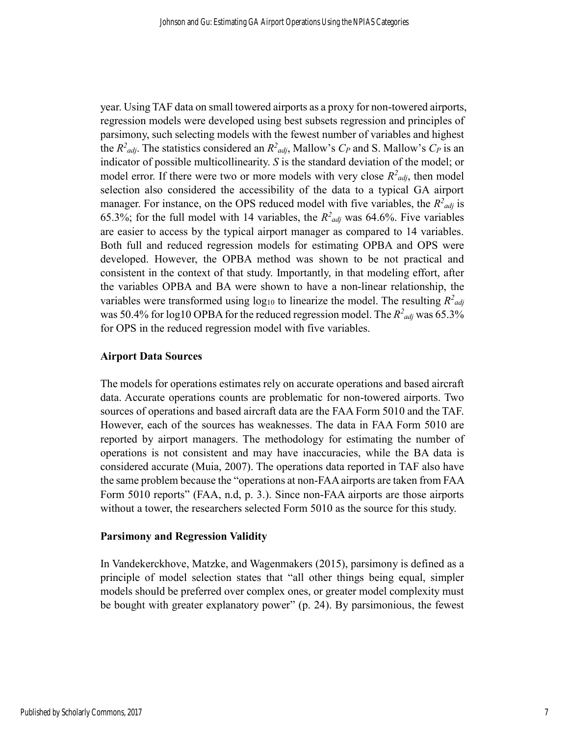year. Using TAF data on small towered airports as a proxy for non-towered airports, regression models were developed using best subsets regression and principles of parsimony, such selecting models with the fewest number of variables and highest the  $R^2_{adj}$ . The statistics considered an  $R^2_{adj}$ , Mallow's  $C_P$  and S. Mallow's  $C_P$  is an indicator of possible multicollinearity. *S* is the standard deviation of the model; or model error. If there were two or more models with very close  $R^2_{adj}$ , then model selection also considered the accessibility of the data to a typical GA airport manager. For instance, on the OPS reduced model with five variables, the  $R^2_{adj}$  is 65.3%; for the full model with 14 variables, the  $R^2_{adj}$  was 64.6%. Five variables are easier to access by the typical airport manager as compared to 14 variables. Both full and reduced regression models for estimating OPBA and OPS were developed. However, the OPBA method was shown to be not practical and consistent in the context of that study. Importantly, in that modeling effort, after the variables OPBA and BA were shown to have a non-linear relationship, the variables were transformed using  $log_{10}$  to linearize the model. The resulting  $R^2_{adj}$ was 50.4% for log10 OPBA for the reduced regression model. The  $R^2_{adj}$  was 65.3% for OPS in the reduced regression model with five variables.

### **Airport Data Sources**

The models for operations estimates rely on accurate operations and based aircraft data. Accurate operations counts are problematic for non-towered airports. Two sources of operations and based aircraft data are the FAA Form 5010 and the TAF. However, each of the sources has weaknesses. The data in FAA Form 5010 are reported by airport managers. The methodology for estimating the number of operations is not consistent and may have inaccuracies, while the BA data is considered accurate (Muia, 2007). The operations data reported in TAF also have the same problem because the "operations at non-FAA airports are taken from FAA Form 5010 reports" (FAA, n.d, p. 3.). Since non-FAA airports are those airports without a tower, the researchers selected Form 5010 as the source for this study.

#### **Parsimony and Regression Validity**

In Vandekerckhove, Matzke, and Wagenmakers (2015), parsimony is defined as a principle of model selection states that "all other things being equal, simpler models should be preferred over complex ones, or greater model complexity must be bought with greater explanatory power" (p. 24). By parsimonious, the fewest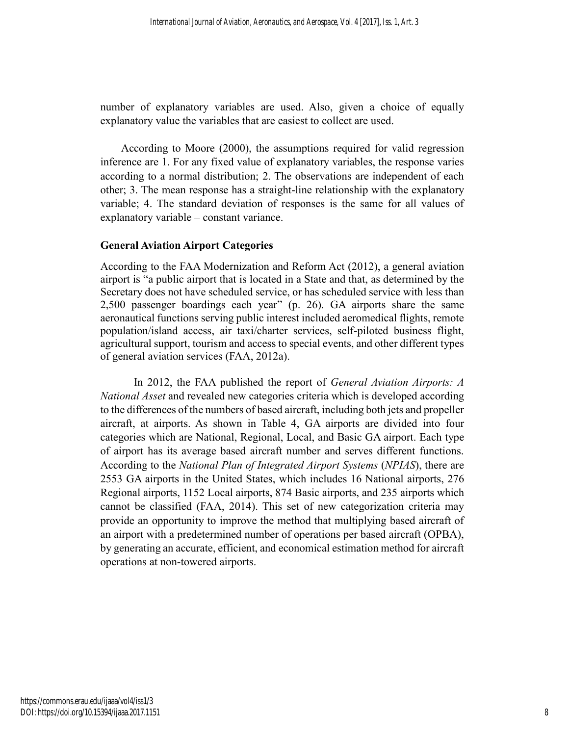number of explanatory variables are used. Also, given a choice of equally explanatory value the variables that are easiest to collect are used.

According to Moore (2000), the assumptions required for valid regression inference are 1. For any fixed value of explanatory variables, the response varies according to a normal distribution; 2. The observations are independent of each other; 3. The mean response has a straight-line relationship with the explanatory variable; 4. The standard deviation of responses is the same for all values of explanatory variable – constant variance.

# **General Aviation Airport Categories**

According to the FAA Modernization and Reform Act (2012), a general aviation airport is "a public airport that is located in a State and that, as determined by the Secretary does not have scheduled service, or has scheduled service with less than 2,500 passenger boardings each year" (p. 26). GA airports share the same aeronautical functions serving public interest included aeromedical flights, remote population/island access, air taxi/charter services, self-piloted business flight, agricultural support, tourism and access to special events, and other different types of general aviation services (FAA, 2012a).

In 2012, the FAA published the report of *General Aviation Airports: A National Asset* and revealed new categories criteria which is developed according to the differences of the numbers of based aircraft, including both jets and propeller aircraft, at airports. As shown in Table 4, GA airports are divided into four categories which are National, Regional, Local, and Basic GA airport. Each type of airport has its average based aircraft number and serves different functions. According to the *National Plan of Integrated Airport Systems* (*NPIAS*), there are 2553 GA airports in the United States, which includes 16 National airports, 276 Regional airports, 1152 Local airports, 874 Basic airports, and 235 airports which cannot be classified (FAA, 2014). This set of new categorization criteria may provide an opportunity to improve the method that multiplying based aircraft of an airport with a predetermined number of operations per based aircraft (OPBA), by generating an accurate, efficient, and economical estimation method for aircraft operations at non-towered airports.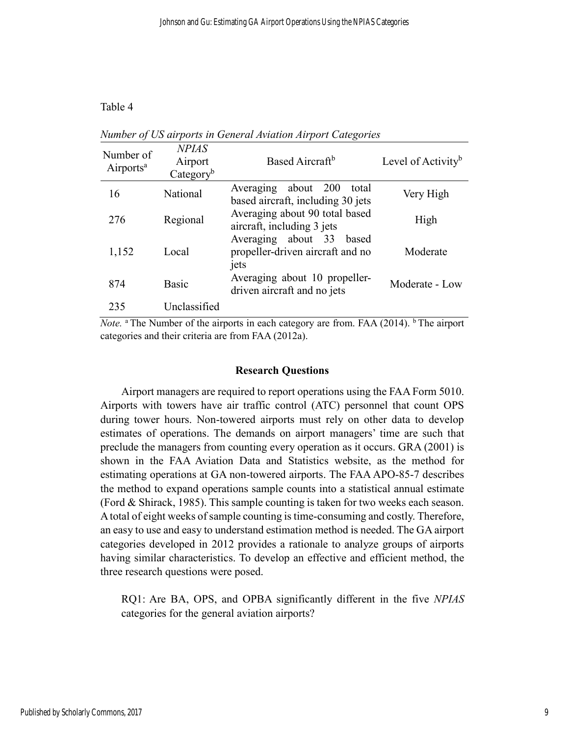## Table 4

| Number of<br>Airports <sup>a</sup> | <b>NPIAS</b><br>Airport<br>Category <sup>b</sup> | Based Aircraft <sup>b</sup>                                          | Level of Activity <sup>b</sup> |
|------------------------------------|--------------------------------------------------|----------------------------------------------------------------------|--------------------------------|
| 16                                 | National                                         | Averaging about 200<br>total<br>based aircraft, including 30 jets    | Very High                      |
| 276                                | Regional                                         | Averaging about 90 total based<br>aircraft, including 3 jets         | High                           |
| 1,152                              | Local                                            | Averaging about 33 based<br>propeller-driven aircraft and no<br>jets | Moderate                       |
| 874                                | <b>Basic</b>                                     | Averaging about 10 propeller-<br>driven aircraft and no jets         | Moderate - Low                 |
| 235                                | Unclassified                                     |                                                                      |                                |

*Number of US airports in General Aviation Airport Categories*

*Note.* <sup>a</sup> The Number of the airports in each category are from. FAA (2014). <sup>b</sup> The airport categories and their criteria are from FAA (2012a).

#### **Research Questions**

Airport managers are required to report operations using the FAA Form 5010. Airports with towers have air traffic control (ATC) personnel that count OPS during tower hours. Non-towered airports must rely on other data to develop estimates of operations. The demands on airport managers' time are such that preclude the managers from counting every operation as it occurs. GRA (2001) is shown in the FAA Aviation Data and Statistics website, as the method for estimating operations at GA non-towered airports. The FAA APO-85-7 describes the method to expand operations sample counts into a statistical annual estimate (Ford & Shirack, 1985). This sample counting is taken for two weeks each season. A total of eight weeks of sample counting is time-consuming and costly. Therefore, an easy to use and easy to understand estimation method is needed. The GA airport categories developed in 2012 provides a rationale to analyze groups of airports having similar characteristics. To develop an effective and efficient method, the three research questions were posed.

RQ1: Are BA, OPS, and OPBA significantly different in the five *NPIAS* categories for the general aviation airports?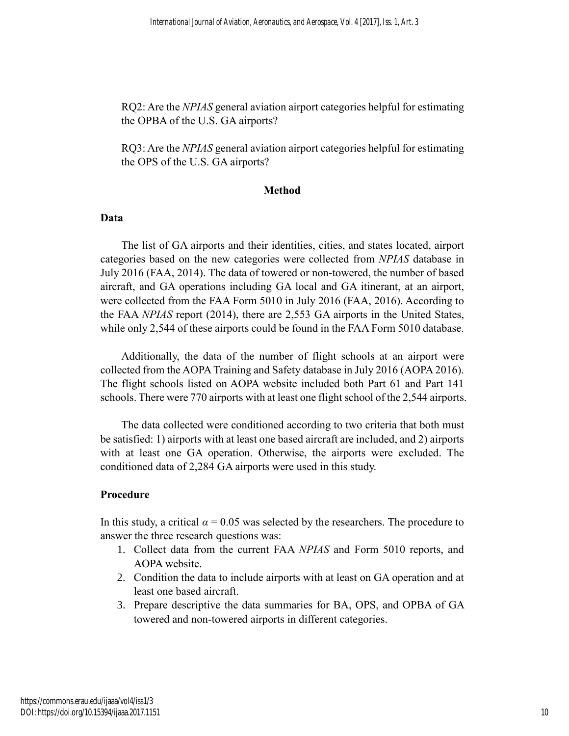RQ2: Are the *NPIAS* general aviation airport categories helpful for estimating the OPBA of the U.S. GA airports?

RQ3: Are the *NPIAS* general aviation airport categories helpful for estimating the OPS of the U.S. GA airports?

# **Method**

### **Data**

The list of GA airports and their identities, cities, and states located, airport categories based on the new categories were collected from *NPIAS* database in July 2016 (FAA, 2014). The data of towered or non-towered, the number of based aircraft, and GA operations including GA local and GA itinerant, at an airport, were collected from the FAA Form 5010 in July 2016 (FAA, 2016). According to the FAA *NPIAS* report (2014), there are 2,553 GA airports in the United States, while only 2,544 of these airports could be found in the FAA Form 5010 database.

Additionally, the data of the number of flight schools at an airport were collected from the AOPA Training and Safety database in July 2016 (AOPA 2016). The flight schools listed on AOPA website included both Part 61 and Part 141 schools. There were 770 airports with at least one flight school of the 2,544 airports.

The data collected were conditioned according to two criteria that both must be satisfied: 1) airports with at least one based aircraft are included, and 2) airports with at least one GA operation. Otherwise, the airports were excluded. The conditioned data of 2,284 GA airports were used in this study.

# **Procedure**

In this study, a critical  $\alpha = 0.05$  was selected by the researchers. The procedure to answer the three research questions was:

- 1. Collect data from the current FAA *NPIAS* and Form 5010 reports, and AOPA website.
- 2. Condition the data to include airports with at least on GA operation and at least one based aircraft.
- 3. Prepare descriptive the data summaries for BA, OPS, and OPBA of GA towered and non-towered airports in different categories.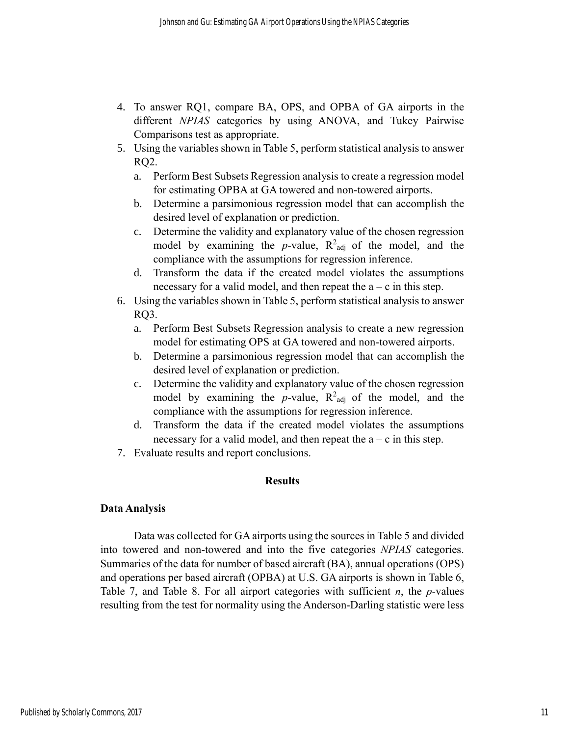- 4. To answer RQ1, compare BA, OPS, and OPBA of GA airports in the different *NPIAS* categories by using ANOVA, and Tukey Pairwise Comparisons test as appropriate.
- 5. Using the variables shown in Table 5, perform statistical analysis to answer RQ2.
	- a. Perform Best Subsets Regression analysis to create a regression model for estimating OPBA at GA towered and non-towered airports.
	- b. Determine a parsimonious regression model that can accomplish the desired level of explanation or prediction.
	- c. Determine the validity and explanatory value of the chosen regression model by examining the  $p$ -value,  $R^2$ <sub>adj</sub> of the model, and the compliance with the assumptions for regression inference.
	- d. Transform the data if the created model violates the assumptions necessary for a valid model, and then repeat the  $a - c$  in this step.
- 6. Using the variables shown in Table 5, perform statistical analysis to answer RQ3.
	- a. Perform Best Subsets Regression analysis to create a new regression model for estimating OPS at GA towered and non-towered airports.
	- b. Determine a parsimonious regression model that can accomplish the desired level of explanation or prediction.
	- c. Determine the validity and explanatory value of the chosen regression model by examining the *p*-value,  $R^2_{adj}$  of the model, and the compliance with the assumptions for regression inference.
	- d. Transform the data if the created model violates the assumptions necessary for a valid model, and then repeat the  $a - c$  in this step.
- 7. Evaluate results and report conclusions.

# **Results**

# **Data Analysis**

Data was collected for GA airports using the sources in Table 5 and divided into towered and non-towered and into the five categories *NPIAS* categories. Summaries of the data for number of based aircraft (BA), annual operations (OPS) and operations per based aircraft (OPBA) at U.S. GA airports is shown in Table 6, Table 7, and Table 8. For all airport categories with sufficient *n*, the *p*-values resulting from the test for normality using the Anderson-Darling statistic were less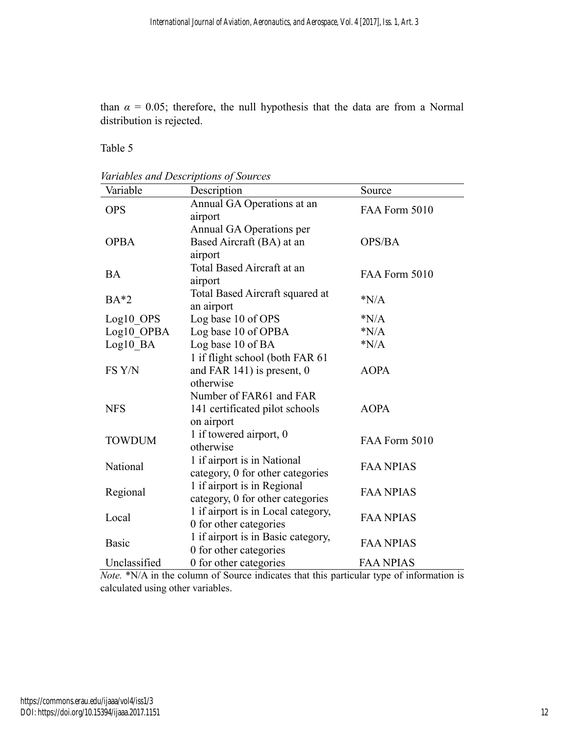than  $\alpha = 0.05$ ; therefore, the null hypothesis that the data are from a Normal distribution is rejected.

Table 5

*Variables and Descriptions of Sources*

| Variable      | Description                                                     | Source           |
|---------------|-----------------------------------------------------------------|------------------|
| <b>OPS</b>    | Annual GA Operations at an                                      | FAA Form 5010    |
|               | airport                                                         |                  |
| <b>OPBA</b>   | Annual GA Operations per<br>Based Aircraft (BA) at an           | OPS/BA           |
|               | airport                                                         |                  |
|               | Total Based Aircraft at an                                      |                  |
| <b>BA</b>     | airport                                                         | FAA Form 5010    |
|               | Total Based Aircraft squared at                                 |                  |
| $BA*2$        | an airport                                                      | N/A              |
| Log10_OPS     | Log base 10 of OPS                                              | N/A              |
| Log10 OPBA    | Log base 10 of OPBA                                             | N/A              |
| Log10 BA      | Log base 10 of BA                                               | N/A              |
|               | 1 if flight school (both FAR 61                                 |                  |
| FS Y/N        | and FAR $141$ ) is present, 0                                   | <b>AOPA</b>      |
|               | otherwise                                                       |                  |
|               | Number of FAR61 and FAR                                         |                  |
| <b>NFS</b>    | 141 certificated pilot schools                                  | <b>AOPA</b>      |
|               | on airport                                                      |                  |
| <b>TOWDUM</b> | 1 if towered airport, 0                                         | FAA Form 5010    |
|               | otherwise                                                       |                  |
| National      | 1 if airport is in National                                     | <b>FAA NPIAS</b> |
|               | category, 0 for other categories<br>1 if airport is in Regional |                  |
| Regional      | category, 0 for other categories                                | <b>FAA NPIAS</b> |
|               | 1 if airport is in Local category,                              |                  |
| Local         | 0 for other categories                                          | <b>FAA NPIAS</b> |
|               | 1 if airport is in Basic category,                              |                  |
| <b>Basic</b>  | 0 for other categories                                          | <b>FAA NPIAS</b> |
| Unclassified  | 0 for other categories                                          | <b>FAA NPIAS</b> |

*Note.* \*N/A in the column of Source indicates that this particular type of information is calculated using other variables.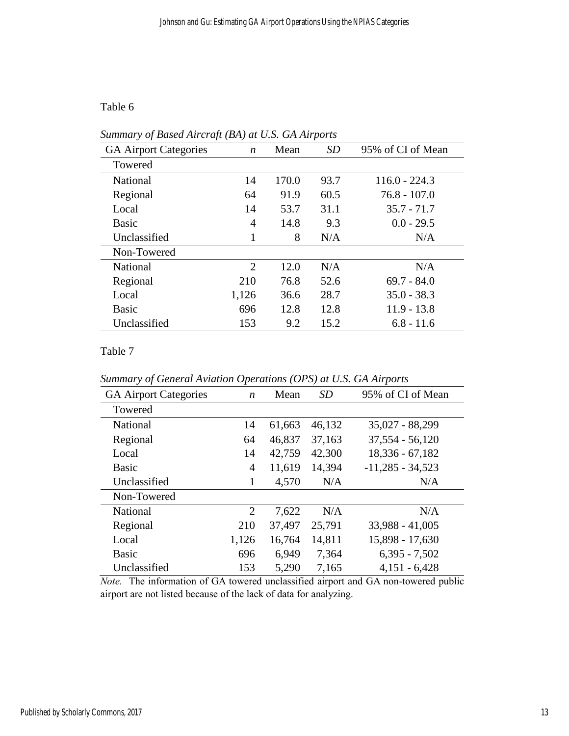# Table 6

| Summary of Based Aircraft (BA) at U.S. GA Airports |  |  |
|----------------------------------------------------|--|--|
|                                                    |  |  |

| <b>GA Airport Categories</b> | $\boldsymbol{n}$ | Mean  | SD   | 95% of CI of Mean |
|------------------------------|------------------|-------|------|-------------------|
| Towered                      |                  |       |      |                   |
| National                     | 14               | 170.0 | 93.7 | $116.0 - 224.3$   |
| Regional                     | 64               | 91.9  | 60.5 | $76.8 - 107.0$    |
| Local                        | 14               | 53.7  | 31.1 | $35.7 - 71.7$     |
| <b>Basic</b>                 | 4                | 14.8  | 9.3  | $0.0 - 29.5$      |
| Unclassified                 | 1                | 8     | N/A  | N/A               |
| Non-Towered                  |                  |       |      |                   |
| National                     | 2                | 12.0  | N/A  | N/A               |
| Regional                     | 210              | 76.8  | 52.6 | $69.7 - 84.0$     |
| Local                        | 1,126            | 36.6  | 28.7 | $35.0 - 38.3$     |
| <b>Basic</b>                 | 696              | 12.8  | 12.8 | $11.9 - 13.8$     |
| Unclassified                 | 153              | 9.2   | 15.2 | $6.8 - 11.6$      |

# Table 7

*Summary of General Aviation Operations (OPS) at U.S. GA Airports*

| <b>GA Airport Categories</b> | $\boldsymbol{n}$ | Mean   | SD     | 95% of CI of Mean  |
|------------------------------|------------------|--------|--------|--------------------|
| Towered                      |                  |        |        |                    |
| National                     | 14               | 61,663 | 46,132 | 35,027 - 88,299    |
| Regional                     | 64               | 46,837 | 37,163 | $37,554 - 56,120$  |
| Local                        | 14               | 42,759 | 42,300 | $18,336 - 67,182$  |
| <b>Basic</b>                 | $\overline{4}$   | 11,619 | 14,394 | $-11,285 - 34,523$ |
| Unclassified                 |                  | 4,570  | N/A    | N/A                |
| Non-Towered                  |                  |        |        |                    |
| National                     | 2                | 7,622  | N/A    | N/A                |
| Regional                     | 210              | 37,497 | 25,791 | 33,988 - 41,005    |
| Local                        | 1,126            | 16,764 | 14,811 | 15,898 - 17,630    |
| <b>Basic</b>                 | 696              | 6,949  | 7,364  | $6,395 - 7,502$    |
| Unclassified                 | 153              | 5,290  | 7,165  | $4,151 - 6,428$    |

*Note.* The information of GA towered unclassified airport and GA non-towered public airport are not listed because of the lack of data for analyzing.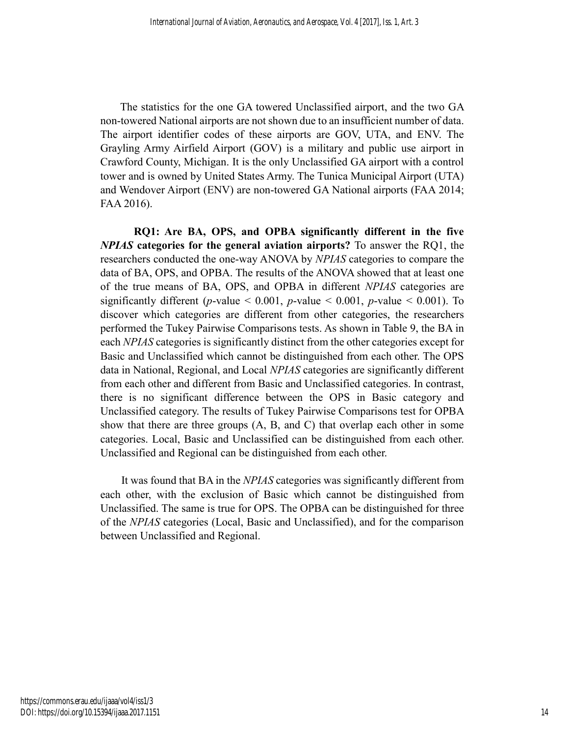The statistics for the one GA towered Unclassified airport, and the two GA non-towered National airports are not shown due to an insufficient number of data. The airport identifier codes of these airports are GOV, UTA, and ENV. The Grayling Army Airfield Airport (GOV) is a military and public use airport in Crawford County, Michigan. It is the only Unclassified GA airport with a control tower and is owned by United States Army. The Tunica Municipal Airport (UTA) and Wendover Airport (ENV) are non-towered GA National airports (FAA 2014; FAA 2016).

**RQ1: Are BA, OPS, and OPBA significantly different in the five**  *NPIAS* **categories for the general aviation airports?** To answer the RQ1, the researchers conducted the one-way ANOVA by *NPIAS* categories to compare the data of BA, OPS, and OPBA. The results of the ANOVA showed that at least one of the true means of BA, OPS, and OPBA in different *NPIAS* categories are significantly different (*p*-value < 0.001, *p*-value < 0.001, *p*-value < 0.001). To discover which categories are different from other categories, the researchers performed the Tukey Pairwise Comparisons tests. As shown in Table 9, the BA in each *NPIAS* categories is significantly distinct from the other categories except for Basic and Unclassified which cannot be distinguished from each other. The OPS data in National, Regional, and Local *NPIAS* categories are significantly different from each other and different from Basic and Unclassified categories. In contrast, there is no significant difference between the OPS in Basic category and Unclassified category. The results of Tukey Pairwise Comparisons test for OPBA show that there are three groups (A, B, and C) that overlap each other in some categories. Local, Basic and Unclassified can be distinguished from each other. Unclassified and Regional can be distinguished from each other.

It was found that BA in the *NPIAS* categories was significantly different from each other, with the exclusion of Basic which cannot be distinguished from Unclassified. The same is true for OPS. The OPBA can be distinguished for three of the *NPIAS* categories (Local, Basic and Unclassified), and for the comparison between Unclassified and Regional.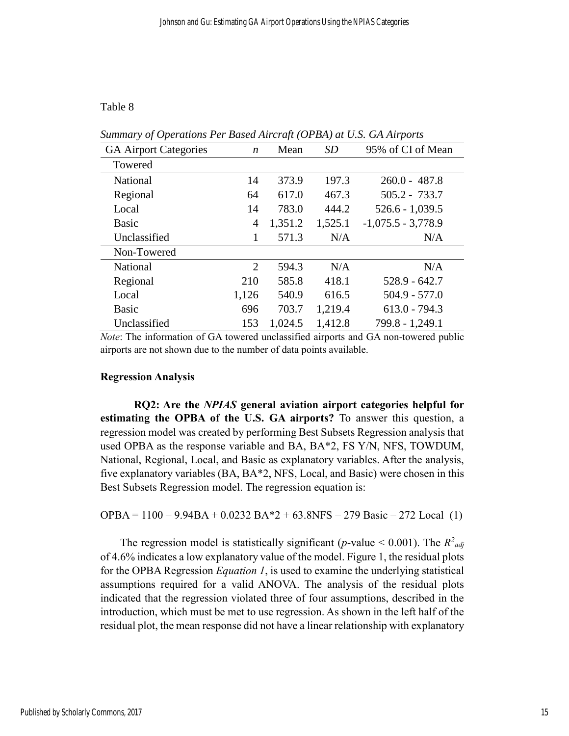## Table 8

| $sum$ in $Q$ of Operations I er Dasea Atronafi (OI DA) di O.S. OA Atrports |                  |         |           |                      |
|----------------------------------------------------------------------------|------------------|---------|-----------|----------------------|
| <b>GA Airport Categories</b>                                               | $\boldsymbol{n}$ | Mean    | <b>SD</b> | 95% of CI of Mean    |
| Towered                                                                    |                  |         |           |                      |
| National                                                                   | 14               | 373.9   | 197.3     | $260.0 - 487.8$      |
| Regional                                                                   | 64               | 617.0   | 467.3     | $505.2 - 733.7$      |
| Local                                                                      | 14               | 783.0   | 444.2     | $526.6 - 1,039.5$    |
| Basic                                                                      | $\overline{4}$   | 1,351.2 | 1,525.1   | $-1,075.5 - 3,778.9$ |
| Unclassified                                                               | 1                | 571.3   | N/A       | N/A                  |
| Non-Towered                                                                |                  |         |           |                      |
| National                                                                   | 2                | 594.3   | N/A       | N/A                  |
| Regional                                                                   | 210              | 585.8   | 418.1     | $528.9 - 642.7$      |
| Local                                                                      | 1,126            | 540.9   | 616.5     | $504.9 - 577.0$      |
| <b>Basic</b>                                                               | 696              | 703.7   | 1,219.4   | $613.0 - 794.3$      |
| Unclassified                                                               | 153              | 1,024.5 | 1,412.8   | 799.8 - 1,249.1      |

*Summary of Operations Per Based Aircraft (OPBA) at U.S. GA Airports*

*Note*: The information of GA towered unclassified airports and GA non-towered public airports are not shown due to the number of data points available.

#### **Regression Analysis**

**RQ2: Are the** *NPIAS* **general aviation airport categories helpful for estimating the OPBA of the U.S. GA airports?** To answer this question, a regression model was created by performing Best Subsets Regression analysis that used OPBA as the response variable and BA, BA\*2, FS Y/N, NFS, TOWDUM, National, Regional, Local, and Basic as explanatory variables. After the analysis, five explanatory variables (BA, BA\*2, NFS, Local, and Basic) were chosen in this Best Subsets Regression model. The regression equation is:

 $OPBA = 1100 - 9.94BA + 0.0232 BA*2 + 63.8NFS - 279 Basic - 272 Local (1)$ 

The regression model is statistically significant (*p*-value < 0.001). The  $R^2_{adj}$ of 4.6% indicates a low explanatory value of the model. Figure 1, the residual plots for the OPBA Regression *Equation 1*, is used to examine the underlying statistical assumptions required for a valid ANOVA. The analysis of the residual plots indicated that the regression violated three of four assumptions, described in the introduction, which must be met to use regression. As shown in the left half of the residual plot, the mean response did not have a linear relationship with explanatory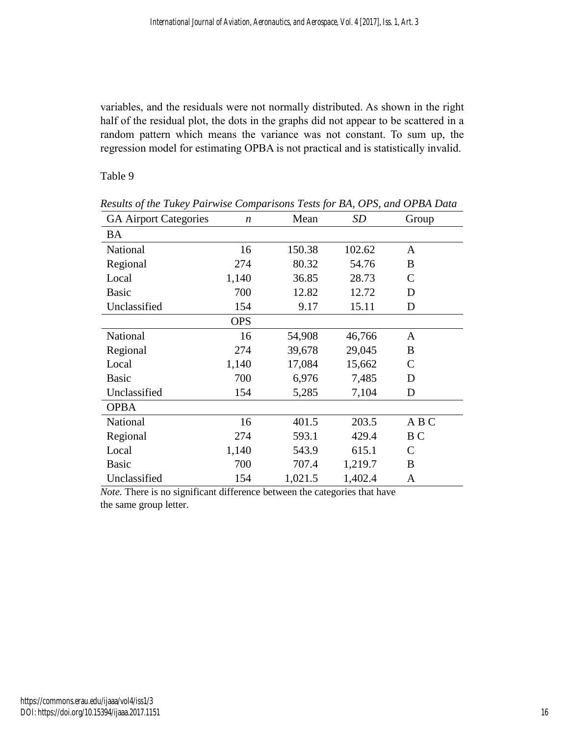variables, and the residuals were not normally distributed. As shown in the right half of the residual plot, the dots in the graphs did not appear to be scattered in a random pattern which means the variance was not constant. To sum up, the regression model for estimating OPBA is not practical and is statistically invalid.

Table 9

| <b>GA Airport Categories</b> | $\boldsymbol{n}$ | Mean    | SD      | Group          |
|------------------------------|------------------|---------|---------|----------------|
| <b>BA</b>                    |                  |         |         |                |
| National                     | 16               | 150.38  | 102.62  | $\mathbf{A}$   |
| Regional                     | 274              | 80.32   | 54.76   | B              |
| Local                        | 1,140            | 36.85   | 28.73   | $\mathsf{C}$   |
| <b>Basic</b>                 | 700              | 12.82   | 12.72   | D              |
| Unclassified                 | 154              | 9.17    | 15.11   | D              |
|                              | <b>OPS</b>       |         |         |                |
| National                     | 16               | 54,908  | 46,766  | $\mathbf{A}$   |
| Regional                     | 274              | 39,678  | 29,045  | B              |
| Local                        | 1,140            | 17,084  | 15,662  | $\mathsf{C}$   |
| <b>Basic</b>                 | 700              | 6,976   | 7,485   | D              |
| Unclassified                 | 154              | 5,285   | 7,104   | D              |
| <b>OPBA</b>                  |                  |         |         |                |
| National                     | 16               | 401.5   | 203.5   | A B C          |
| Regional                     | 274              | 593.1   | 429.4   | B <sub>C</sub> |
| Local                        | 1,140            | 543.9   | 615.1   | $\mathcal{C}$  |
| <b>Basic</b>                 | 700              | 707.4   | 1,219.7 | B              |
| Unclassified                 | 154              | 1,021.5 | 1,402.4 | A              |

*Results of the Tukey Pairwise Comparisons Tests for BA, OPS, and OPBA Data*

*Note*. There is no significant difference between the categories that have the same group letter.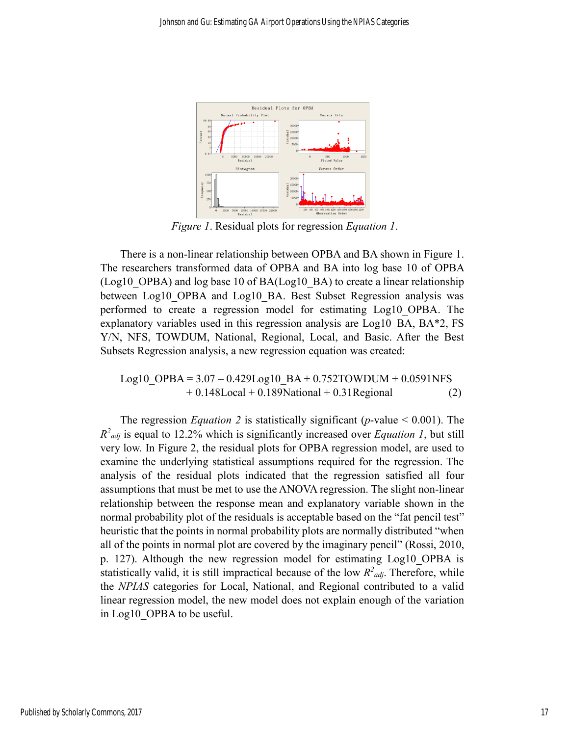

*Figure 1*. Residual plots for regression *Equation 1*.

There is a non-linear relationship between OPBA and BA shown in Figure 1. The researchers transformed data of OPBA and BA into log base 10 of OPBA (Log10\_OPBA) and log base 10 of BA(Log10\_BA) to create a linear relationship between Log10\_OPBA and Log10\_BA. Best Subset Regression analysis was performed to create a regression model for estimating Log10\_OPBA. The explanatory variables used in this regression analysis are Log10 BA, BA\*2, FS Y/N, NFS, TOWDUM, National, Regional, Local, and Basic. After the Best Subsets Regression analysis, a new regression equation was created:

$$
Log10_OPPBA = 3.07 - 0.429Log10_BA + 0.752TOWDUM + 0.0591NFS + 0.148Local + 0.189National + 0.31Regional
$$
 (2)

The regression *Equation* 2 is statistically significant (*p*-value  $\leq 0.001$ ). The  $R^2_{adj}$  is equal to 12.2% which is significantly increased over *Equation 1*, but still very low. In Figure 2, the residual plots for OPBA regression model, are used to examine the underlying statistical assumptions required for the regression. The analysis of the residual plots indicated that the regression satisfied all four assumptions that must be met to use the ANOVA regression. The slight non-linear relationship between the response mean and explanatory variable shown in the normal probability plot of the residuals is acceptable based on the "fat pencil test" heuristic that the points in normal probability plots are normally distributed "when all of the points in normal plot are covered by the imaginary pencil" (Rossi, 2010, p. 127). Although the new regression model for estimating Log10\_OPBA is statistically valid, it is still impractical because of the low  $R^2_{adj}$ . Therefore, while the *NPIAS* categories for Local, National, and Regional contributed to a valid linear regression model, the new model does not explain enough of the variation in Log10\_OPBA to be useful.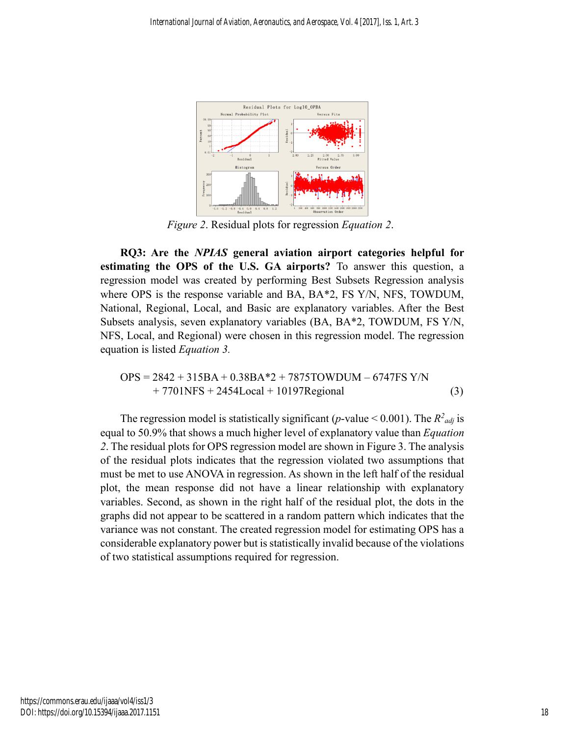

*Figure 2*. Residual plots for regression *Equation 2*.

**RQ3: Are the** *NPIAS* **general aviation airport categories helpful for estimating the OPS of the U.S. GA airports?** To answer this question, a regression model was created by performing Best Subsets Regression analysis where OPS is the response variable and BA, BA\*2, FS Y/N, NFS, TOWDUM, National, Regional, Local, and Basic are explanatory variables. After the Best Subsets analysis, seven explanatory variables (BA, BA\*2, TOWDUM, FS Y/N, NFS, Local, and Regional) were chosen in this regression model. The regression equation is listed *Equation 3.*

$$
OPS = 2842 + 315BA + 0.38BA * 2 + 7875TOWDUM - 6747FS Y/N + 7701NFS + 2454Local + 10197Regional
$$
 (3)

The regression model is statistically significant (*p*-value < 0.001). The  $R^2_{adj}$  is equal to 50.9% that shows a much higher level of explanatory value than *Equation 2*. The residual plots for OPS regression model are shown in Figure 3. The analysis of the residual plots indicates that the regression violated two assumptions that must be met to use ANOVA in regression. As shown in the left half of the residual plot, the mean response did not have a linear relationship with explanatory variables. Second, as shown in the right half of the residual plot, the dots in the graphs did not appear to be scattered in a random pattern which indicates that the variance was not constant. The created regression model for estimating OPS has a considerable explanatory power but is statistically invalid because of the violations of two statistical assumptions required for regression.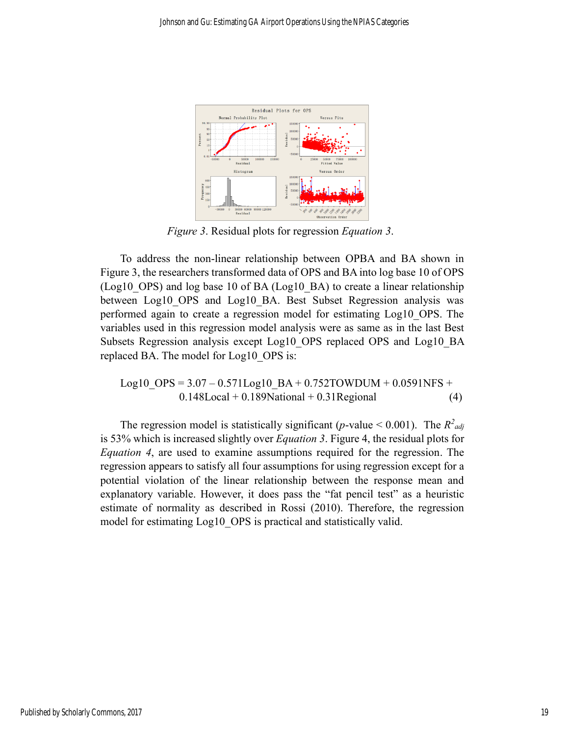

*Figure 3*. Residual plots for regression *Equation 3*.

To address the non-linear relationship between OPBA and BA shown in Figure 3, the researchers transformed data of OPS and BA into log base 10 of OPS (Log10 OPS) and log base 10 of BA (Log10 BA) to create a linear relationship between Log10 OPS and Log10 BA. Best Subset Regression analysis was performed again to create a regression model for estimating Log10\_OPS. The variables used in this regression model analysis were as same as in the last Best Subsets Regression analysis except Log10\_OPS replaced OPS and Log10\_BA replaced BA. The model for Log10\_OPS is:

Log10\_OPS = 
$$
3.07 - 0.571 \text{Log}10_BA + 0.752 \text{TOWD}UM + 0.0591 \text{NFS} + 0.148 \text{Local} + 0.189 \text{National} + 0.31 \text{Regional}
$$
 (4)

The regression model is statistically significant (*p*-value < 0.001). The  $R^2_{adj}$ is 53% which is increased slightly over *Equation 3*. Figure 4, the residual plots for *Equation 4*, are used to examine assumptions required for the regression. The regression appears to satisfy all four assumptions for using regression except for a potential violation of the linear relationship between the response mean and explanatory variable. However, it does pass the "fat pencil test" as a heuristic estimate of normality as described in Rossi (2010). Therefore, the regression model for estimating Log10\_OPS is practical and statistically valid.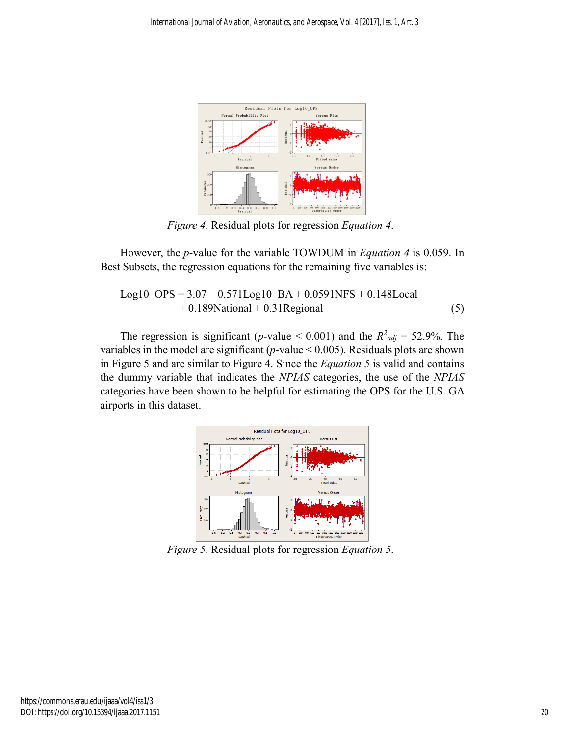

*Figure 4*. Residual plots for regression *Equation 4*.

However, the *p*-value for the variable TOWDUM in *Equation 4* is 0.059. In Best Subsets, the regression equations for the remaining five variables is:

$$
Log10\_OPS = 3.07 - 0.571Log10\_BA + 0.0591NFS + 0.148Local
$$
  
+ 0.189National + 0.31Regional (5)

The regression is significant (*p*-value < 0.001) and the  $R^2_{adj} = 52.9\%$ . The variables in the model are significant (*p*-value < 0.005). Residuals plots are shown in Figure 5 and are similar to Figure 4. Since the *Equation 5* is valid and contains the dummy variable that indicates the *NPIAS* categories, the use of the *NPIAS* categories have been shown to be helpful for estimating the OPS for the U.S. GA airports in this dataset.



*Figure 5*. Residual plots for regression *Equation 5*.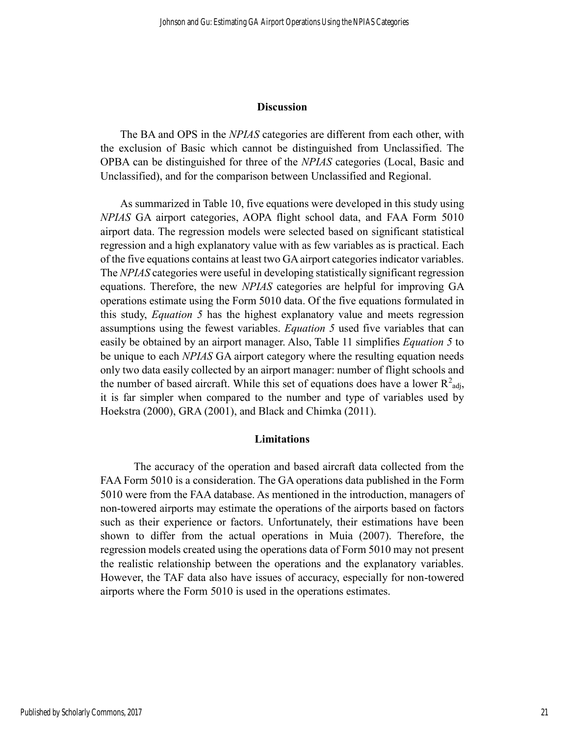#### **Discussion**

The BA and OPS in the *NPIAS* categories are different from each other, with the exclusion of Basic which cannot be distinguished from Unclassified. The OPBA can be distinguished for three of the *NPIAS* categories (Local, Basic and Unclassified), and for the comparison between Unclassified and Regional.

As summarized in Table 10, five equations were developed in this study using *NPIAS* GA airport categories, AOPA flight school data, and FAA Form 5010 airport data. The regression models were selected based on significant statistical regression and a high explanatory value with as few variables as is practical. Each of the five equations contains at least two GA airport categories indicator variables. The *NPIAS* categories were useful in developing statistically significant regression equations. Therefore, the new *NPIAS* categories are helpful for improving GA operations estimate using the Form 5010 data. Of the five equations formulated in this study, *Equation 5* has the highest explanatory value and meets regression assumptions using the fewest variables. *Equation 5* used five variables that can easily be obtained by an airport manager. Also, Table 11 simplifies *Equation 5* to be unique to each *NPIAS* GA airport category where the resulting equation needs only two data easily collected by an airport manager: number of flight schools and the number of based aircraft. While this set of equations does have a lower  $R^2_{adj}$ , it is far simpler when compared to the number and type of variables used by Hoekstra (2000), GRA (2001), and Black and Chimka (2011).

#### **Limitations**

The accuracy of the operation and based aircraft data collected from the FAA Form 5010 is a consideration. The GA operations data published in the Form 5010 were from the FAA database. As mentioned in the introduction, managers of non-towered airports may estimate the operations of the airports based on factors such as their experience or factors. Unfortunately, their estimations have been shown to differ from the actual operations in Muia (2007). Therefore, the regression models created using the operations data of Form 5010 may not present the realistic relationship between the operations and the explanatory variables. However, the TAF data also have issues of accuracy, especially for non-towered airports where the Form 5010 is used in the operations estimates.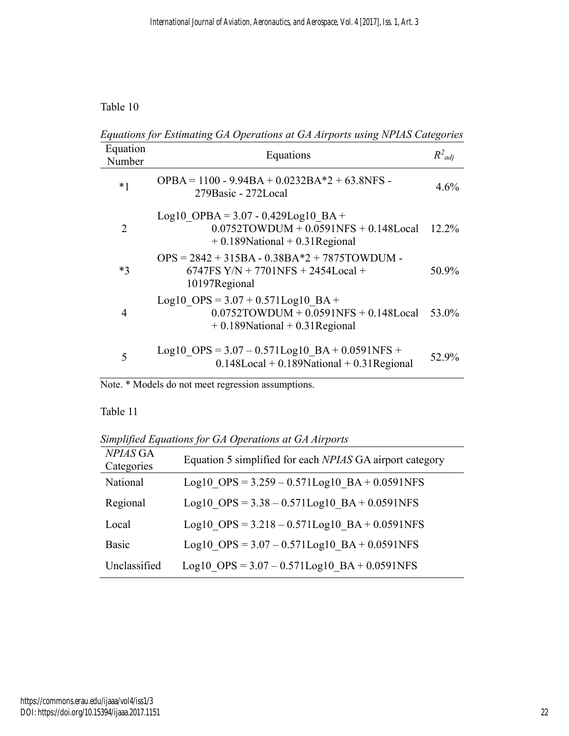Table 10

*Equations for Estimating GA Operations at GA Airports using NPIAS Categories*

| Equation<br>Number | Equations                                                                                                               | $R^2_{adj}$ |
|--------------------|-------------------------------------------------------------------------------------------------------------------------|-------------|
| $*1$               | OPBA = $1100 - 9.94BA + 0.0232BA*2 + 63.8NFS$<br>279Basic - 272Local                                                    | 4.6%        |
| 2                  | Log10 OPBA = $3.07 - 0.429$ Log10 BA +<br>$0.0752TOWDUM + 0.0591NFS + 0.148Local$<br>$+0.189$ National $+0.31$ Regional | $12.2\%$    |
| $*3$               | $OPS = 2842 + 315BA - 0.38BA*2 + 7875TOWDUM -$<br>6747FS $Y/N + 7701NFS + 2454Local +$<br>10197Regional                 | 50.9%       |
| 4                  | Log10 OPS = $3.07 + 0.571$ Log10 BA +<br>$0.0752TOWDUM + 0.0591NFS + 0.148Local$<br>$+0.189$ National $+0.31$ Regional  | 53.0%       |
| 5                  | Log10 OPS = $3.07 - 0.571$ Log10 BA + 0.0591NFS +<br>$0.148$ Local + $0.189$ National + $0.31$ Regional                 | 52.9%       |

Note. \* Models do not meet regression assumptions.

Table 11

*Simplified Equations for GA Operations at GA Airports*

| <b>NPIAS GA</b><br>Categories | Equation 5 simplified for each <i>NPIAS</i> GA airport category |
|-------------------------------|-----------------------------------------------------------------|
| National                      | Log10 OPS = $3.259 - 0.571$ Log10 BA + 0.0591NFS                |
| Regional                      | Log10 OPS = $3.38 - 0.571$ Log10 BA + 0.0591NFS                 |
| Local                         | Log10 OPS = $3.218 - 0.571$ Log10 BA + 0.0591NFS                |
| Basic                         | Log10 OPS = $3.07 - 0.571$ Log10 BA + 0.0591NFS                 |
| Unclassified                  | Log10 OPS = $3.07 - 0.571$ Log10 BA + 0.0591NFS                 |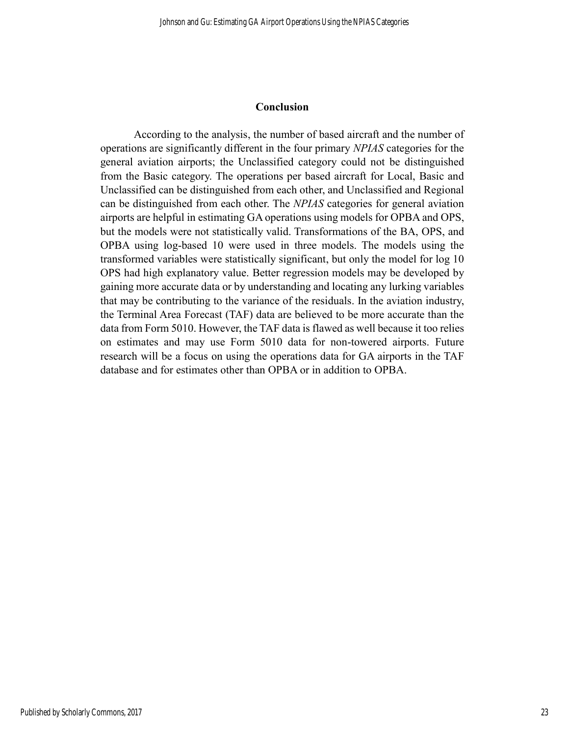## **Conclusion**

According to the analysis, the number of based aircraft and the number of operations are significantly different in the four primary *NPIAS* categories for the general aviation airports; the Unclassified category could not be distinguished from the Basic category. The operations per based aircraft for Local, Basic and Unclassified can be distinguished from each other, and Unclassified and Regional can be distinguished from each other. The *NPIAS* categories for general aviation airports are helpful in estimating GA operations using models for OPBA and OPS, but the models were not statistically valid. Transformations of the BA, OPS, and OPBA using log-based 10 were used in three models. The models using the transformed variables were statistically significant, but only the model for log 10 OPS had high explanatory value. Better regression models may be developed by gaining more accurate data or by understanding and locating any lurking variables that may be contributing to the variance of the residuals. In the aviation industry, the Terminal Area Forecast (TAF) data are believed to be more accurate than the data from Form 5010. However, the TAF data is flawed as well because it too relies on estimates and may use Form 5010 data for non-towered airports. Future research will be a focus on using the operations data for GA airports in the TAF database and for estimates other than OPBA or in addition to OPBA.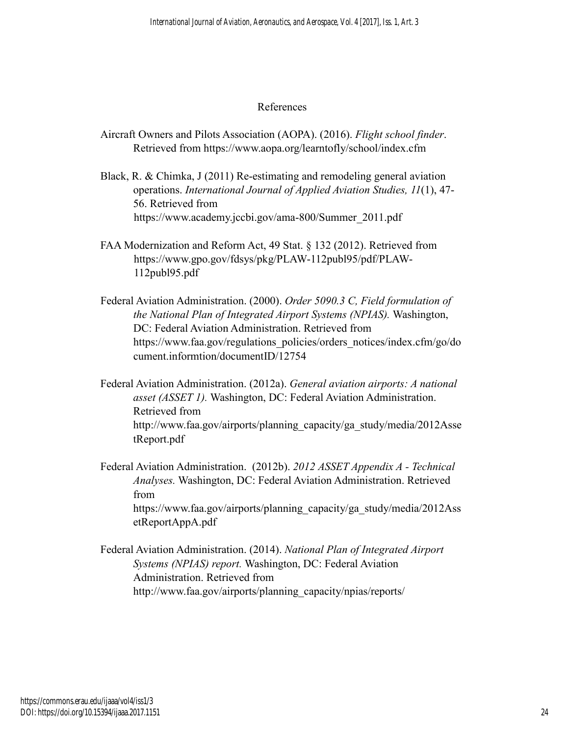# References

- Aircraft Owners and Pilots Association (AOPA). (2016). *Flight school finder*. Retrieved from https://www.aopa.org/learntofly/school/index.cfm
- Black, R. & Chimka, J (2011) Re-estimating and remodeling general aviation operations. *International Journal of Applied Aviation Studies, 11*(1), 47- 56. Retrieved from https://www.academy.jccbi.gov/ama-800/Summer\_2011.pdf
- FAA Modernization and Reform Act, 49 Stat. § 132 (2012). Retrieved from https://www.gpo.gov/fdsys/pkg/PLAW-112publ95/pdf/PLAW-112publ95.pdf
- Federal Aviation Administration. (2000). *Order 5090.3 C, Field formulation of the National Plan of Integrated Airport Systems (NPIAS).* Washington, DC: Federal Aviation Administration. Retrieved from https://www.faa.gov/regulations\_policies/orders\_notices/index.cfm/go/do cument.informtion/documentID/12754
- Federal Aviation Administration. (2012a). *General aviation airports: A national asset (ASSET 1).* Washington, DC: Federal Aviation Administration. Retrieved from http://www.faa.gov/airports/planning\_capacity/ga\_study/media/2012Asse tReport.pdf
- Federal Aviation Administration. (2012b). *2012 ASSET Appendix A - Technical Analyses.* Washington, DC: Federal Aviation Administration. Retrieved from https://www.faa.gov/airports/planning\_capacity/ga\_study/media/2012Ass

Federal Aviation Administration. (2014). *National Plan of Integrated Airport Systems (NPIAS) report.* Washington, DC: Federal Aviation Administration. Retrieved from http://www.faa.gov/airports/planning\_capacity/npias/reports/

etReportAppA.pdf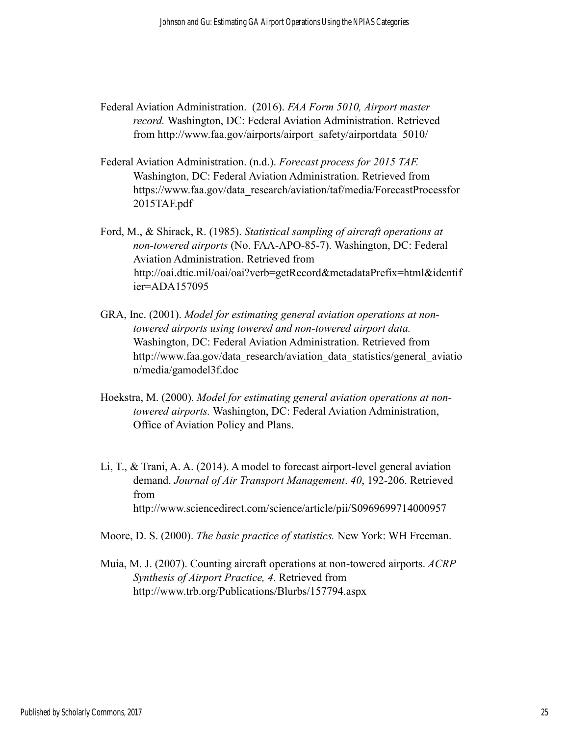- Federal Aviation Administration. (2016). *FAA Form 5010, Airport master record.* Washington, DC: Federal Aviation Administration. Retrieved from http://www.faa.gov/airports/airport\_safety/airportdata\_5010/
- Federal Aviation Administration. (n.d.). *Forecast process for 2015 TAF.* Washington, DC: Federal Aviation Administration. Retrieved from https://www.faa.gov/data\_research/aviation/taf/media/ForecastProcessfor 2015TAF.pdf
- Ford, M., & Shirack, R. (1985). *Statistical sampling of aircraft operations at non-towered airports* (No. FAA-APO-85-7). Washington, DC: Federal Aviation Administration. Retrieved from http://oai.dtic.mil/oai/oai?verb=getRecord&metadataPrefix=html&identif ier=ADA157095
- GRA, Inc. (2001). *Model for estimating general aviation operations at nontowered airports using towered and non-towered airport data.*  Washington, DC: Federal Aviation Administration. Retrieved from http://www.faa.gov/data\_research/aviation\_data\_statistics/general\_aviatio n/media/gamodel3f.doc
- Hoekstra, M. (2000). *Model for estimating general aviation operations at nontowered airports.* Washington, DC: Federal Aviation Administration, Office of Aviation Policy and Plans.
- Li, T., & Trani, A. A. (2014). A model to forecast airport-level general aviation demand. *Journal of Air Transport Management*. *40*, 192-206. Retrieved from http://www.sciencedirect.com/science/article/pii/S0969699714000957

Moore, D. S. (2000). *The basic practice of statistics.* New York: WH Freeman.

Muia, M. J. (2007). Counting aircraft operations at non-towered airports. *ACRP Synthesis of Airport Practice, 4*. Retrieved from http://www.trb.org/Publications/Blurbs/157794.aspx